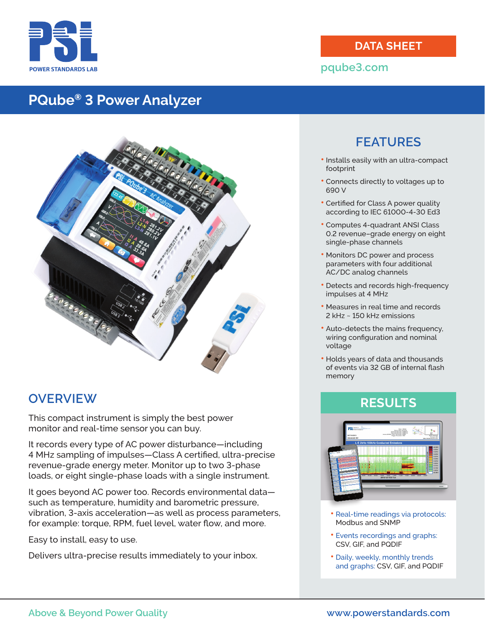

#### **DATA SHEET**

#### **pqube3.com**

# **PQube® 3 Power Analyzer**



## **OVERVIEW**

This compact instrument is simply the best power monitor and real-time sensor you can buy.

It records every type of AC power disturbance—including 4 MHz sampling of impulses—Class A certified, ultra-precise revenue-grade energy meter. Monitor up to two 3-phase loads, or eight single-phase loads with a single instrument.

It goes beyond AC power too. Records environmental data such as temperature, humidity and barometric pressure, vibration, 3-axis acceleration—as well as process parameters, for example: torque, RPM, fuel level, water flow, and more.

Easy to install, easy to use.

Delivers ultra-precise results immediately to your inbox.

# **FEATURES**

- **•** Installs easily with an ultra-compact footprint
- **•** Connects directly to voltages up to 690 V
- **•** Certified for Class A power quality according to IEC 61000-4-30 Ed3
- **•** Computes 4-quadrant ANSI Class 0.2 revenue–grade energy on eight single-phase channels
- **•** Monitors DC power and process parameters with four additional AC/DC analog channels
- **•** Detects and records high-frequency impulses at 4 MHz
- **•** Measures in real time and records 2 kHz ~ 150 kHz emissions
- **•** Auto-detects the mains frequency, wiring configuration and nominal voltage
- **•** Holds years of data and thousands of events via 32 GB of internal flash memory

## **RESULTS**



- **•** Real-time readings via protocols: Modbus and SNMP
- **•** Events recordings and graphs: CSV, GIF, and PQDIF
- **•** Daily, weekly, monthly trends and graphs: CSV, GIF, and PQDIF